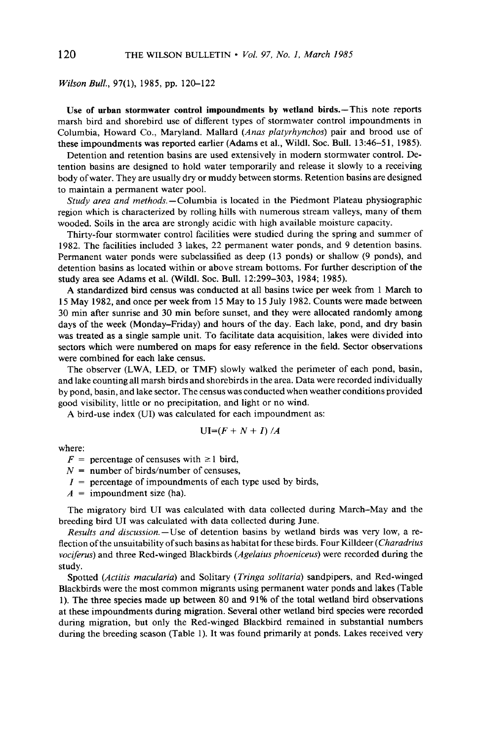## **Wilson Bull., 97(l), 1985, pp. 120-122**

**Use of urban stormwater control impoundments by wetland birds.-This note reports marsh bird and shorebird use of different types of stormwater control impoundments in**  Columbia, Howard Co., Maryland. Mallard (Anas platyrhynchos) pair and brood use of these impoundments was reported earlier (Adams et al., Wildl. Soc. Bull. 13:46–51, 1985).

**Detention and retention basins are used extensively in modem stormwater control. Detention basins are designed to hold water temporarily and release it slowly to a receiving body of water. They are usually dry or muddy between storms. Retention basins are designed to maintain a permanent water pool.** 

**study area and methods.-Columbia is located in the Piedmont Plateau physiographic region which is characterized by rolling hills with numerous stream valleys, many of them wooded. Soils in the area are strongly acidic with high available moisture capacity.** 

**Thirty-four stormwater control facilities were studied during the spring and summer of 1982. The facilities included 3 lakes, 22 permanent water ponds, and 9 detention basins. Permanent water ponds were subclassified as deep (13 ponds) or shallow (9 ponds), and detention basins as located within or above stream bottoms. For further description of the study area see Adams et al. (Wildl. Sot. Bull. 12:299-303, 1984; 1985).** 

**A standardized bird census was conducted at all basins twice per week from 1 March to 15 May 1982, and once per week from 15 May to 15 July 1982. Counts were made between 30 min after sunrise and 30 min before sunset, and they were allocated randomly among days of the week (Monday-Friday) and hours of the day. Each lake, pond, and dry basin was treated as a single sample unit. To facilitate data acquisition, lakes were divided into sectors which were numbered on maps for easy reference in the field. Sector observations were combined for each lake census.** 

**The observer (LWA, LED, or TMF) slowly walked the perimeter of each pond, basin, and lake counting all marsh birds and shorebirds in the area. Data were recorded individually by pond, basin, and lake sector. The census was conducted when weather conditions provided good visibility, little or no precipitation, and light or no wind.** 

**A bird-use index (UI) was calculated for each impoundment as:** 

$$
UI=(F+N+I)/A
$$

**where:** 

 $F =$  percentage of censuses with  $\geq 1$  bird,

- **N = number of birds/number of censuses,**
- **Z = percentage of impoundments of each type used by birds,**

 $A =$ **impoundment** size (ha).

**The migratory bird UI was calculated with data collected during March-May and the breeding bird UI was calculated with data collected during June.** 

**Results and discussion.-Use of detention basins by wetland birds was very low, a reflection of the unsuitability of such basins as habitat for these birds. Four Killdeer (Charadrius vociferus) and three Red-winged Blackbirds (Ageluius phoeniceus) were recorded during the study.** 

**Spotted (Actitis maculuriu) and Solitary (Tringu solitariu) sandpipers, and Red-winged Blackbirds were the most common migrants using permanent water ponds and lakes (Table 1). The three species made up between 80 and 9 1% of the total wetland bird observations at these impoundments during migration. Several other wetland bird species were recorded during migration, but only the Red-winged Blackbird remained in substantial numbers during the breeding season (Table 1). It was found primarily at ponds. Lakes received very**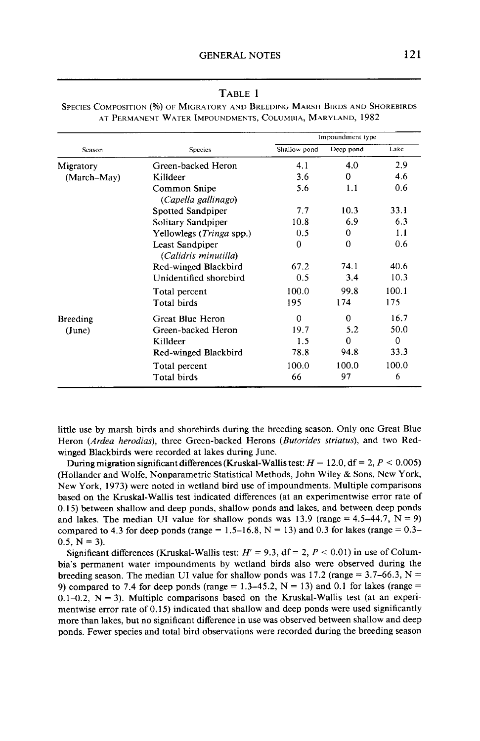## **TABLE 1**

| Season          | <b>Species</b>                          | Impoundment type |           |          |
|-----------------|-----------------------------------------|------------------|-----------|----------|
|                 |                                         | Shallow pond     | Deep pond | Lake     |
| Migratory       | Green-backed Heron                      | 4.1              | 4.0       | 2.9      |
| (March-May)     | Killdeer                                | 3.6              | $\Omega$  | 4.6      |
|                 | Common Snipe<br>(Capella gallinago)     | 5.6              | 1.1       | 0.6      |
|                 | <b>Spotted Sandpiper</b>                | 7.7              | 10.3      | 33.1     |
|                 | Solitary Sandpiper                      | 10.8             | 6.9       | 6.3      |
|                 | Yellowlegs (Tringa spp.)                | 0.5              | 0         | 1.1      |
|                 | Least Sandpiper<br>(Calidris minutilla) | $\Omega$         | $\Omega$  | 0.6      |
|                 | Red-winged Blackbird                    | 67.2             | 74 1      | 40.6     |
|                 | Unidentified shorebird                  | 0.5              | 3.4       | 10.3     |
|                 | Total percent                           | 100.0            | 99.8      | 100.1    |
|                 | Total birds                             | 195              | 174       | 175      |
| <b>Breeding</b> | Great Blue Heron                        | $\Omega$         | $\Omega$  | 16.7     |
| (June)          | Green-backed Heron                      | 19.7             | 5.2       | 50.0     |
|                 | Killdeer                                | 1.5              | $\Omega$  | $\theta$ |
|                 | Red-winged Blackbird                    | 78.8             | 94.8      | 33.3     |
|                 | Total percent                           | 100.0            | 100.0     | 100.0    |
|                 | <b>Total birds</b>                      | 66               | 97        | 6        |

SPECIES COMPOSITION (%) OF MIGRATORY AND BREEDING MARSH BIRDS AND SHOREBIRDS **AT PERMANENT WATER IMPOLJNDMENTS,COLUMUIA,MARYLAND, 1982** 

**little use by marsh birds and shorebirds during the breeding season. Only one Great Blue**  Heron (Ardea herodias), three Green-backed Herons (Butorides striatus), and two Red**winged Blackbirds were recorded at lakes during June.** 

During migration significant differences (Kruskal-Wallis test:  $H = 12.0$ ,  $df = 2$ ,  $P < 0.005$ ) **(Hollander and Wolfe, Nonparametric Statistical Methods, John Wiley & Sons, New York, New York, 1973) were noted in wetland bird use of impoundments. Multiple comparisons based on the Kruskal-Wallis test indicated differences (at an experimentwise error rate of 0.15) between shallow and deep ponds, shallow ponds and lakes, and between deep ponds**  and lakes. The median UI value for shallow ponds was  $13.9$  (range  $= 4.5-44.7$ ,  $N = 9$ ) compared to 4.3 for deep ponds (range =  $1.5-16.8$ , N =  $13$ ) and 0.3 for lakes (range =  $0.3-$ 0.5,  $N = 3$ ).

Significant differences (Kruskal-Wallis test:  $H' = 9.3$ ,  $df = 2$ ,  $P < 0.01$ ) in use of Colum**bia's permanent water impoundments by wetland birds also were observed during the**  breeding season. The median UI value for shallow ponds was 17.2 (range  $= 3.7-66.3$ , N  $=$ 9) compared to 7.4 for deep ponds (range  $= 1.3-45.2$ ,  $N = 13$ ) and 0.1 for lakes (range  $=$  $0.1 - 0.2$ ,  $N = 3$ ). Multiple comparisons based on the Kruskal-Wallis test (at an experi**mentwise error rate of 0.15) indicated that shallow and deep ponds were used significantly more than lakes, but no significant difference in use was observed between shallow and deep ponds. Fewer species and total bird observations were recorded during the breeding season**